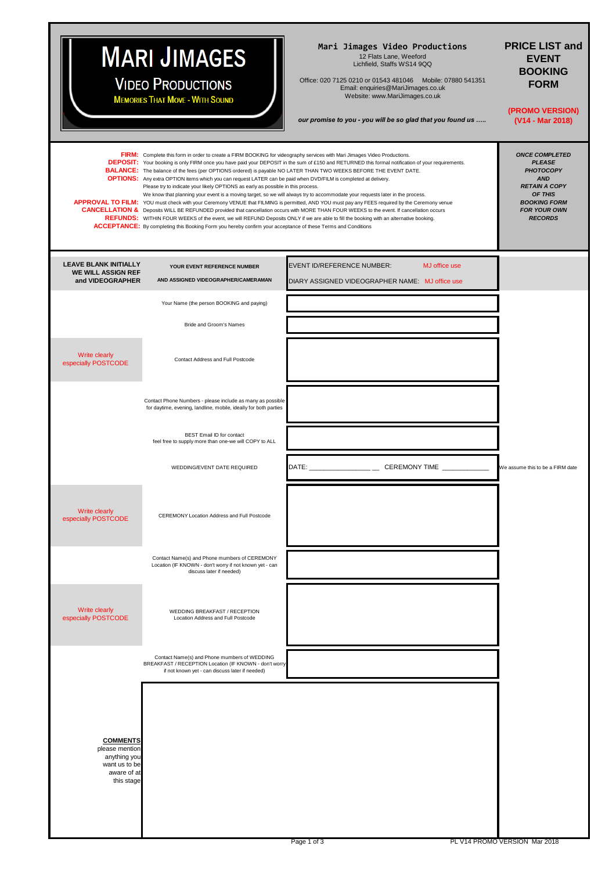# **MARI JIMAGES**

**VIDEO PRODUCTIONS MEMORIES THAT MOVE - WITH SOUND** 

**Mari Jimages Video Productions**<br>12 Flats Lane, Weeford<br>Lichfield, Staffs WS14 9QQ

Office: 020 7125 0210 or 01543 481046 Mobile: 07880 541351 Email: enquiries@MariJimages.co.uk Website: www.MariJimages.co.uk

*our promise to you - you will be so glad that you found us …..*

#### **PRICE LIST and EVENT BOOKING FORM**

**(PROMO VERSION) (V14 - Mar 2018)**

|                                                                                                 | FIRM: Complete this form in order to create a FIRM BOOKING for videography services with Mari Jimages Video Productions.<br><b>BALANCE:</b> The balance of the fees (per OPTIONS ordered) is payable NO LATER THAN TWO WEEKS BEFORE THE EVENT DATE.<br>OPTIONS: Any extra OPTION items which you can request LATER can be paid when DVD/FILM is completed at delivery.<br>Please try to indicate your likely OPTIONS as early as possible in this process.<br>We know that planning your event is a moving target, so we will always try to accommodate your requests later in the process.<br><b>ACCEPTANCE:</b> By completing this Booking Form you hereby confirm your acceptance of these Terms and Conditions | <b>DEPOSIT:</b> Your booking is only FIRM once you have paid your DEPOSIT in the sum of £150 and RETURNED this formal notification of your requirements.<br>APPROVAL TO FILM: YOU must check with your Ceremony VENUE that FILMING is permitted, AND YOU must pay any FEES required by the Ceremony venue<br>CANCELLATION & Deposits WILL BE REFUNDED provided that cancellation occurs with MORE THAN FOUR WEEKS to the event. If cancellation occurs<br>REFUNDS: WITHIN FOUR WEEKS of the event, we will REFUND Deposits ONLY if we are able to fill the booking with an alternative booking. | <b>ONCE COMPLETED</b><br><b>PLEASE</b><br><b>PHOTOCOPY</b><br><b>AND</b><br><b>RETAIN A COPY</b><br>OF THIS<br><b>BOOKING FORM</b><br><b>FOR YOUR OWN</b><br><b>RECORDS</b> |
|-------------------------------------------------------------------------------------------------|--------------------------------------------------------------------------------------------------------------------------------------------------------------------------------------------------------------------------------------------------------------------------------------------------------------------------------------------------------------------------------------------------------------------------------------------------------------------------------------------------------------------------------------------------------------------------------------------------------------------------------------------------------------------------------------------------------------------|-------------------------------------------------------------------------------------------------------------------------------------------------------------------------------------------------------------------------------------------------------------------------------------------------------------------------------------------------------------------------------------------------------------------------------------------------------------------------------------------------------------------------------------------------------------------------------------------------|-----------------------------------------------------------------------------------------------------------------------------------------------------------------------------|
| <b>LEAVE BLANK INITIALLY</b><br><b>WE WILL ASSIGN REF</b><br>and VIDEOGRAPHER                   | YOUR EVENT REFERENCE NUMBER<br>AND ASSIGNED VIDEOGRAPHER/CAMERAMAN                                                                                                                                                                                                                                                                                                                                                                                                                                                                                                                                                                                                                                                 | <b>EVENT ID/REFERENCE NUMBER:</b><br>MJ office use<br>DIARY ASSIGNED VIDEOGRAPHER NAME: MJ office use                                                                                                                                                                                                                                                                                                                                                                                                                                                                                           |                                                                                                                                                                             |
|                                                                                                 | Your Name (the person BOOKING and paying)                                                                                                                                                                                                                                                                                                                                                                                                                                                                                                                                                                                                                                                                          |                                                                                                                                                                                                                                                                                                                                                                                                                                                                                                                                                                                                 |                                                                                                                                                                             |
|                                                                                                 | Bride and Groom's Names                                                                                                                                                                                                                                                                                                                                                                                                                                                                                                                                                                                                                                                                                            |                                                                                                                                                                                                                                                                                                                                                                                                                                                                                                                                                                                                 |                                                                                                                                                                             |
| Write clearly<br>especially POSTCODE                                                            | Contact Address and Full Postcode                                                                                                                                                                                                                                                                                                                                                                                                                                                                                                                                                                                                                                                                                  |                                                                                                                                                                                                                                                                                                                                                                                                                                                                                                                                                                                                 |                                                                                                                                                                             |
|                                                                                                 | Contact Phone Numbers - please include as many as possible<br>for daytime, evening, landline, mobile, ideally for both parties                                                                                                                                                                                                                                                                                                                                                                                                                                                                                                                                                                                     |                                                                                                                                                                                                                                                                                                                                                                                                                                                                                                                                                                                                 |                                                                                                                                                                             |
|                                                                                                 | BEST Email ID for contact<br>feel free to supply more than one-we will COPY to ALL                                                                                                                                                                                                                                                                                                                                                                                                                                                                                                                                                                                                                                 |                                                                                                                                                                                                                                                                                                                                                                                                                                                                                                                                                                                                 |                                                                                                                                                                             |
|                                                                                                 | WEDDING/EVENT DATE REQUIRED                                                                                                                                                                                                                                                                                                                                                                                                                                                                                                                                                                                                                                                                                        | DATE: ________________ CEREMONY TIME ____________                                                                                                                                                                                                                                                                                                                                                                                                                                                                                                                                               | We assume this to be a FIRM date                                                                                                                                            |
| Write clearly<br>especially POSTCODE                                                            | CEREMONY Location Address and Full Postcode                                                                                                                                                                                                                                                                                                                                                                                                                                                                                                                                                                                                                                                                        |                                                                                                                                                                                                                                                                                                                                                                                                                                                                                                                                                                                                 |                                                                                                                                                                             |
|                                                                                                 | Contact Name(s) and Phone mumbers of CEREMONY<br>Location (IF KNOWN - don't worry if not known yet - can<br>discuss later if needed)                                                                                                                                                                                                                                                                                                                                                                                                                                                                                                                                                                               |                                                                                                                                                                                                                                                                                                                                                                                                                                                                                                                                                                                                 |                                                                                                                                                                             |
| Write clearly<br>especially POSTCODE                                                            | WEDDING BREAKFAST / RECEPTION<br>Location Address and Full Postcode                                                                                                                                                                                                                                                                                                                                                                                                                                                                                                                                                                                                                                                |                                                                                                                                                                                                                                                                                                                                                                                                                                                                                                                                                                                                 |                                                                                                                                                                             |
|                                                                                                 | Contact Name(s) and Phone mumbers of WEDDING<br>BREAKFAST / RECEPTION Location (IF KNOWN - don't worry<br>if not known yet - can discuss later if needed)                                                                                                                                                                                                                                                                                                                                                                                                                                                                                                                                                          |                                                                                                                                                                                                                                                                                                                                                                                                                                                                                                                                                                                                 |                                                                                                                                                                             |
| <b>COMMENTS</b><br>please mention<br>anything you<br>want us to be<br>aware of at<br>this stage |                                                                                                                                                                                                                                                                                                                                                                                                                                                                                                                                                                                                                                                                                                                    |                                                                                                                                                                                                                                                                                                                                                                                                                                                                                                                                                                                                 |                                                                                                                                                                             |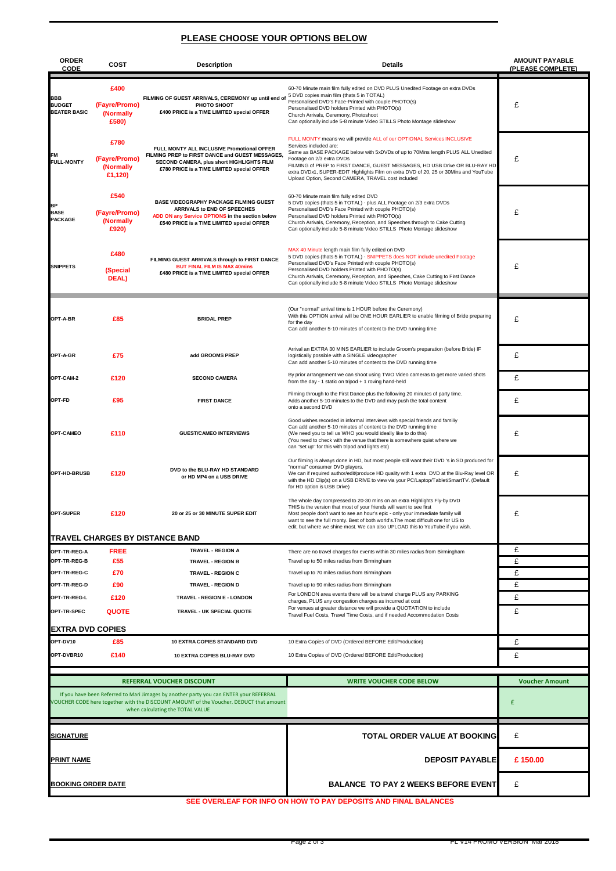#### **PLEASE CHOOSE YOUR OPTIONS BELOW**

| <b>ORDER</b><br><b>CODE</b>                                                                                                                                                                                         | COST                                          | <b>Description</b>                                                                                                                                                                       | Details                                                                                                                                                                                                                                                                                                                                                                                                                                       | <b>AMOUNT PAYABLE</b><br>(PLEASE COMPLETE) |
|---------------------------------------------------------------------------------------------------------------------------------------------------------------------------------------------------------------------|-----------------------------------------------|------------------------------------------------------------------------------------------------------------------------------------------------------------------------------------------|-----------------------------------------------------------------------------------------------------------------------------------------------------------------------------------------------------------------------------------------------------------------------------------------------------------------------------------------------------------------------------------------------------------------------------------------------|--------------------------------------------|
| <b>BBB</b><br><b>BUDGET</b><br><b>BEATER BASIC</b>                                                                                                                                                                  | £400<br>(Fayre/Promo)<br>(Normally<br>£580)   | FILMING OF GUEST ARRIVALS, CEREMONY up until end of<br>PHOTO SHOOT<br>£400 PRICE is a TIME LIMITED special OFFER                                                                         | 60-70 Minute main film fully edited on DVD PLUS Unedited Footage on extra DVDs<br>5 DVD copies main film (thats 5 in TOTAL)<br>Personalised DVD's Face-Printed with couple PHOTO(s)<br>Personalised DVD holders Printed with PHOTO(s)<br>Church Arrivals, Ceremony, Photoshoot<br>Can optionally include 5-8 minute Video STILLS Photo Montage slideshow                                                                                      | £                                          |
| <b>FM</b><br><b>FULL-MONTY</b>                                                                                                                                                                                      | £780<br>(Fayre/Promo)<br>(Normally<br>£1,120) | FULL MONTY ALL INCLUSIVE Promotional OFFER<br>FILMING PREP to FIRST DANCE and GUEST MESSAGES,<br>SECOND CAMERA, plus short HIGHLIGHTS FILM<br>£780 PRICE is a TIME LIMITED special OFFER | FULL MONTY means we will provide ALL of our OPTIONAL Services INCLUSIVE<br>Services included are:<br>Same as BASE PACKAGE below with 5xDVDs of up to 70Mins length PLUS ALL Unedited<br>Footage on 2/3 extra DVDs<br>FILMING of PREP to FIRST DANCE, GUEST MESSAGES, HD USB Drive OR BLU-RAY HD<br>extra DVDx1, SUPER-EDIT Highlights Film on extra DVD of 20, 25 or 30Mins and YouTube<br>Upload Option, Second CAMERA, TRAVEL cost included | £                                          |
| <b>BP</b><br><b>BASE</b><br><b>PACKAGE</b>                                                                                                                                                                          | £540<br>(Fayre/Promo)<br>(Normally<br>£920)   | BASE VIDEOGRAPHY PACKAGE FILMING GUEST<br>ARRIVALS to END OF SPEECHES<br>ADD ON any Service OPTIONS in the section below<br>£540 PRICE is a TIME LIMITED special OFFER                   | 60-70 Minute main film fully edited DVD<br>5 DVD copies (thats 5 in TOTAL) - plus ALL Footage on 2/3 extra DVDs<br>Personalised DVD's Face Printed with couple PHOTO(s)<br>Personalised DVD holders Printed with PHOTO(s)<br>Church Arrivals, Ceremony, Reception, and Speeches through to Cake Cutting<br>Can optionally include 5-8 minute Video STILLS Photo Montage slideshow                                                             | £                                          |
| <b>SNIPPETS</b>                                                                                                                                                                                                     | £480<br>(Special<br>DEAL)                     | FILMING GUEST ARRIVALS through to FIRST DANCE<br><b>BUT FINAL FILM IS MAX 40mins</b><br>£480 PRICE is a TIME LIMITED special OFFER                                                       | MAX 40 Minute length main film fully edited on DVD<br>5 DVD copies (thats 5 in TOTAL) - SNIPPETS does NOT include unedited Footage<br>Personalised DVD's Face Printed with couple PHOTO(s)<br>Personalised DVD holders Printed with PHOTO(s)<br>Church Arrivals, Ceremony, Reception, and Speeches, Cake Cutting to First Dance<br>Can optionally include 5-8 minute Video STILLS Photo Montage slideshow                                     | £                                          |
| OPT-A-BR                                                                                                                                                                                                            | £85                                           | <b>BRIDAL PREP</b>                                                                                                                                                                       | (Our "normal" arrival time is 1 HOUR before the Ceremony)<br>With this OPTION arrival will be ONE HOUR EARLIER to enable filming of Bride preparing<br>for the day<br>Can add another 5-10 minutes of content to the DVD running time                                                                                                                                                                                                         | £                                          |
| OPT-A-GR                                                                                                                                                                                                            | £75                                           | add GROOMS PREP                                                                                                                                                                          | Arrival an EXTRA 30 MINS EARLIER to include Groom's preparation (before Bride) IF<br>logistically possible with a SINGLE videographer<br>Can add another 5-10 minutes of content to the DVD running time                                                                                                                                                                                                                                      | £                                          |
| OPT-CAM-2                                                                                                                                                                                                           | £120                                          | <b>SECOND CAMERA</b>                                                                                                                                                                     | By prior arrangement we can shoot using TWO Video cameras to get more varied shots<br>from the day - 1 static on tripod + 1 roving hand-held                                                                                                                                                                                                                                                                                                  | £                                          |
| OPT-FD                                                                                                                                                                                                              | £95                                           | <b>FIRST DANCE</b>                                                                                                                                                                       | Filming through to the First Dance plus the following 20 minutes of party time.<br>Adds another 5-10 minutes to the DVD and may push the total content<br>onto a second DVD                                                                                                                                                                                                                                                                   | £                                          |
| OPT-CAMEO                                                                                                                                                                                                           | £110                                          | <b>GUEST/CAMEO INTERVIEWS</b>                                                                                                                                                            | Good wishes recorded in informal interviews with special friends and familiy<br>Can add another 5-10 minutes of content to the DVD running time<br>(We need you to tell us WHO you would ideally like to do this)<br>(You need to check with the venue that there is somewhere quiet where we<br>can "set up" for this with tripod and lights etc)                                                                                            | £                                          |
| OPT-HD-BRUSB                                                                                                                                                                                                        | £120                                          | DVD to the BLU-RAY HD STANDARD<br>or HD MP4 on a USB DRIVE                                                                                                                               | Our filming is always done in HD, but most people still want their DVD 's in SD produced for<br>"normal" consumer DVD players.<br>We can if required author/edit/produce HD quality with 1 extra DVD at the Blu-Ray level OR<br>with the HD Clip(s) on a USB DRIVE to view via your PC/Laptop/Tablet/SmartTV. (Default<br>for HD option is USB Drive)                                                                                         | £                                          |
| OPT-SUPER                                                                                                                                                                                                           | £120                                          | 20 or 25 or 30 MINUTE SUPER EDIT                                                                                                                                                         | The whole day compressed to 20-30 mins on an extra Highlights Fly-by DVD<br>THIS is the version that most of your friends will want to see first<br>Most people don't want to see an hour's epic - only your immediate family will<br>want to see the full monty. Best of both world's. The most difficult one for US to<br>edit, but where we shine most. We can also UPLOAD this to YouTube if you wish.                                    | f                                          |
| TRAVEL CHARGES BY DISTANCE BAND                                                                                                                                                                                     |                                               |                                                                                                                                                                                          |                                                                                                                                                                                                                                                                                                                                                                                                                                               |                                            |
| OPT-TR-REG-A                                                                                                                                                                                                        | <b>FREE</b>                                   | <b>TRAVEL - REGION A</b>                                                                                                                                                                 | There are no travel charges for events within 30 miles radius from Birmingham                                                                                                                                                                                                                                                                                                                                                                 | £                                          |
| OPT-TR-REG-B<br>OPT-TR-REG-C                                                                                                                                                                                        | £55                                           | <b>TRAVEL - REGION B</b>                                                                                                                                                                 | Travel up to 50 miles radius from Birmingham                                                                                                                                                                                                                                                                                                                                                                                                  | £                                          |
| OPT-TR-REG-D                                                                                                                                                                                                        | £70<br>£90                                    | <b>TRAVEL - REGION C</b><br><b>TRAVEL - REGION D</b>                                                                                                                                     | Travel up to 70 miles radius from Birmingham<br>Travel up to 90 miles radius from Birmingham                                                                                                                                                                                                                                                                                                                                                  | £<br>£                                     |
| OPT-TR-REG-L                                                                                                                                                                                                        |                                               |                                                                                                                                                                                          | For LONDON area events there will be a travel charge PLUS any PARKING                                                                                                                                                                                                                                                                                                                                                                         | £                                          |
| OPT-TR-SPEC                                                                                                                                                                                                         | £120<br><b>QUOTE</b>                          | TRAVEL - REGION E - LONDON<br>TRAVEL - UK SPECIAL QUOTE                                                                                                                                  | charges, PLUS any congestion charges as incurred at cost<br>For venues at greater distance we will provide a QUOTATION to include<br>Travel Fuel Costs, Travel Time Costs, and if needed Accommodation Costs                                                                                                                                                                                                                                  | £                                          |
| <b>EXTRA DVD COPIES</b>                                                                                                                                                                                             |                                               |                                                                                                                                                                                          |                                                                                                                                                                                                                                                                                                                                                                                                                                               |                                            |
| OPT-DV10                                                                                                                                                                                                            | £85                                           | 10 EXTRA COPIES STANDARD DVD                                                                                                                                                             | 10 Extra Copies of DVD (Ordered BEFORE Edit/Production)                                                                                                                                                                                                                                                                                                                                                                                       | £                                          |
| OPT-DVBR10                                                                                                                                                                                                          | £140                                          | 10 EXTRA COPIES BLU-RAY DVD                                                                                                                                                              | 10 Extra Copies of DVD (Ordered BEFORE Edit/Production)                                                                                                                                                                                                                                                                                                                                                                                       | £                                          |
| <b>REFERRAL VOUCHER DISCOUNT</b>                                                                                                                                                                                    |                                               |                                                                                                                                                                                          | <b>WRITE VOUCHER CODE BELOW</b>                                                                                                                                                                                                                                                                                                                                                                                                               | <b>Voucher Amount</b>                      |
| If you have been Referred to Mari Jimages by another party you can ENTER your REFERRAL<br>OUCHER CODE here together with the DISCOUNT AMOUNT of the Voucher. DEDUCT that amount<br>when calculating the TOTAL VALUE |                                               |                                                                                                                                                                                          |                                                                                                                                                                                                                                                                                                                                                                                                                                               | £                                          |
| <u>SIGNATURE</u>                                                                                                                                                                                                    |                                               |                                                                                                                                                                                          | TOTAL ORDER VALUE AT BOOKING                                                                                                                                                                                                                                                                                                                                                                                                                  | £                                          |
| PRINT NAME                                                                                                                                                                                                          |                                               |                                                                                                                                                                                          | <b>DEPOSIT PAYABLE</b>                                                                                                                                                                                                                                                                                                                                                                                                                        | £150.00                                    |
| <b>BOOKING ORDER DATE</b>                                                                                                                                                                                           |                                               |                                                                                                                                                                                          | <b>BALANCE TO PAY 2 WEEKS BEFORE EVENT</b>                                                                                                                                                                                                                                                                                                                                                                                                    | £                                          |

**SEE OVERLEAF FOR INFO ON HOW TO PAY DEPOSITS AND FINAL BALANCES**